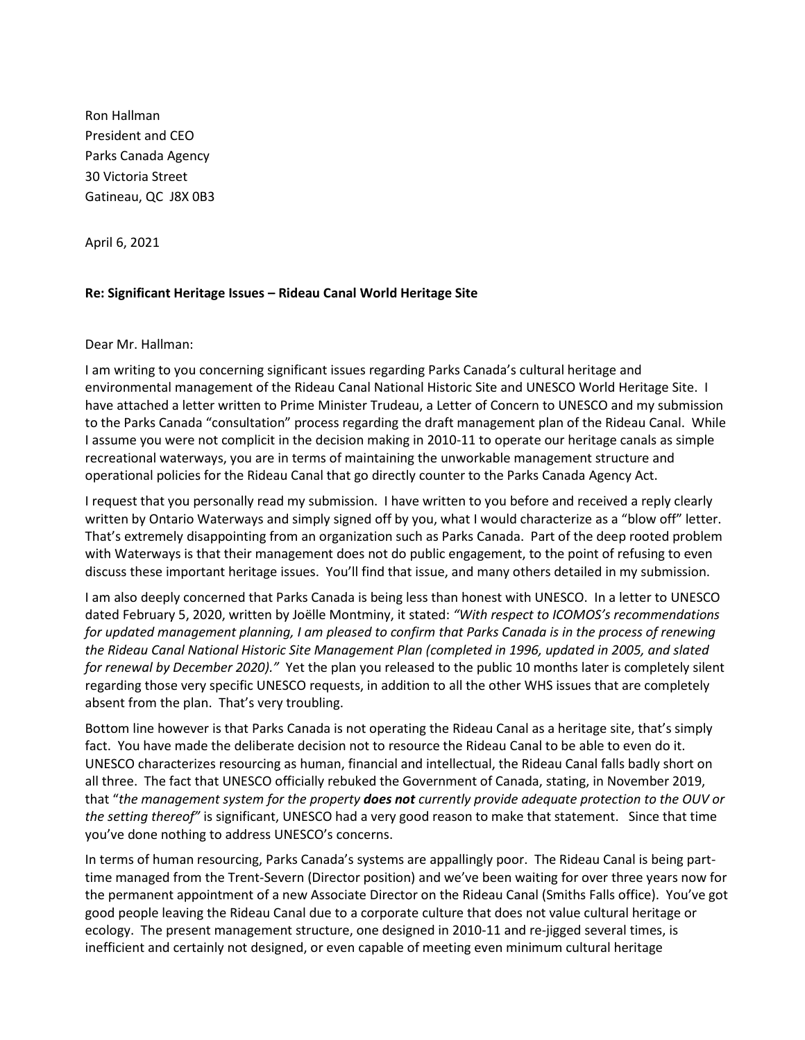Ron Hallman President and CEO Parks Canada Agency 30 Victoria Street Gatineau, QC J8X 0B3

April 6, 2021

## **Re: Significant Heritage Issues – Rideau Canal World Heritage Site**

Dear Mr. Hallman:

I am writing to you concerning significant issues regarding Parks Canada's cultural heritage and environmental management of the Rideau Canal National Historic Site and UNESCO World Heritage Site. I have attached a letter written to Prime Minister Trudeau, a Letter of Concern to UNESCO and my submission to the Parks Canada "consultation" process regarding the draft management plan of the Rideau Canal. While I assume you were not complicit in the decision making in 2010-11 to operate our heritage canals as simple recreational waterways, you are in terms of maintaining the unworkable management structure and operational policies for the Rideau Canal that go directly counter to the Parks Canada Agency Act.

I request that you personally read my submission. I have written to you before and received a reply clearly written by Ontario Waterways and simply signed off by you, what I would characterize as a "blow off" letter. That's extremely disappointing from an organization such as Parks Canada. Part of the deep rooted problem with Waterways is that their management does not do public engagement, to the point of refusing to even discuss these important heritage issues. You'll find that issue, and many others detailed in my submission.

I am also deeply concerned that Parks Canada is being less than honest with UNESCO. In a letter to UNESCO dated February 5, 2020, written by Joëlle Montminy, it stated: *"With respect to ICOMOS's recommendations for updated management planning, I am pleased to confirm that Parks Canada is in the process of renewing the Rideau Canal National Historic Site Management Plan (completed in 1996, updated in 2005, and slated for renewal by December 2020)."* Yet the plan you released to the public 10 months later is completely silent regarding those very specific UNESCO requests, in addition to all the other WHS issues that are completely absent from the plan. That's very troubling.

Bottom line however is that Parks Canada is not operating the Rideau Canal as a heritage site, that's simply fact. You have made the deliberate decision not to resource the Rideau Canal to be able to even do it. UNESCO characterizes resourcing as human, financial and intellectual, the Rideau Canal falls badly short on all three. The fact that UNESCO officially rebuked the Government of Canada, stating, in November 2019, that "*the management system for the property does not currently provide adequate protection to the OUV or the setting thereof"* is significant, UNESCO had a very good reason to make that statement.Since that time you've done nothing to address UNESCO's concerns.

In terms of human resourcing, Parks Canada's systems are appallingly poor. The Rideau Canal is being parttime managed from the Trent-Severn (Director position) and we've been waiting for over three years now for the permanent appointment of a new Associate Director on the Rideau Canal (Smiths Falls office). You've got good people leaving the Rideau Canal due to a corporate culture that does not value cultural heritage or ecology. The present management structure, one designed in 2010-11 and re-jigged several times, is inefficient and certainly not designed, or even capable of meeting even minimum cultural heritage